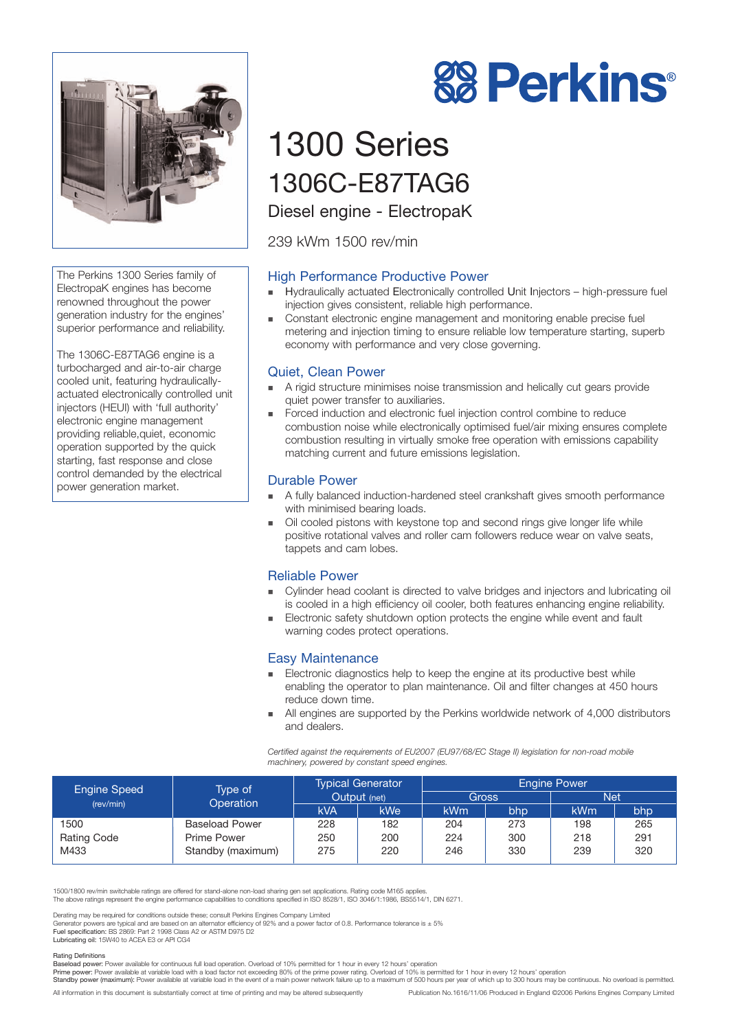

The Perkins 1300 Series family of ElectropaK engines has become renowned throughout the power generation industry for the engines' superior performance and reliability.

The 1306C-E87TAG6 engine is a turbocharged and air-to-air charge cooled unit, featuring hydraulicallyactuated electronically controlled unit injectors (HEUI) with 'full authority' electronic engine management providing reliable,quiet, economic operation supported by the quick starting, fast response and close control demanded by the electrical power generation market.

# **88 Perkins®**

# 1300 Series 1306C-E87TAG6

Diesel engine - ElectropaK

239 kWm 1500 rev/min

# High Performance Productive Power

- ! Hydraulically actuated Electronically controlled Unit Injectors high-pressure fuel injection gives consistent, reliable high performance.
- ! Constant electronic engine management and monitoring enable precise fuel metering and injection timing to ensure reliable low temperature starting, superb economy with performance and very close governing.

# Quiet, Clean Power

- A rigid structure minimises noise transmission and helically cut gears provide quiet power transfer to auxiliaries.
- ! Forced induction and electronic fuel injection control combine to reduce combustion noise while electronically optimised fuel/air mixing ensures complete combustion resulting in virtually smoke free operation with emissions capability matching current and future emissions legislation.

### Durable Power

- ! A fully balanced induction-hardened steel crankshaft gives smooth performance with minimised bearing loads.
- ! Oil cooled pistons with keystone top and second rings give longer life while positive rotational valves and roller cam followers reduce wear on valve seats, tappets and cam lobes.

# Reliable Power

- ! Cylinder head coolant is directed to valve bridges and injectors and lubricating oil is cooled in a high efficiency oil cooler, both features enhancing engine reliability.
- **Electronic safety shutdown option protects the engine while event and fault** warning codes protect operations.

### Easy Maintenance

- ! Electronic diagnostics help to keep the engine at its productive best while enabling the operator to plan maintenance. Oil and filter changes at 450 hours reduce down time.
- All engines are supported by the Perkins worldwide network of 4,000 distributors and dealers.

*Certified against the requirements of EU2007 (EU97/68/EC Stage II) legislation for non-road mobile machinery, powered by constant speed engines.*

| <b>Engine Speed</b><br>(rev/min) | Type of<br>Operation  | <b>Typical Generator</b><br>Output (net) |     | <b>Engine Power</b> |     |            |     |
|----------------------------------|-----------------------|------------------------------------------|-----|---------------------|-----|------------|-----|
|                                  |                       |                                          |     | <b>Gross</b>        |     | <b>Net</b> |     |
|                                  |                       | <b>kVA</b>                               | kWe | <b>kWm</b>          | bhp | <b>kWm</b> | bhp |
| 1500                             | <b>Baseload Power</b> | 228                                      | 182 | 204                 | 273 | 198        | 265 |
| <b>Rating Code</b>               | Prime Power           | 250                                      | 200 | 224                 | 300 | 218        | 291 |
| M433                             | Standby (maximum)     | 275                                      | 220 | 246                 | 330 | 239        | 320 |

1500/1800 rev/min switchable ratings are offered for stand-alone non-load sharing gen set applications. Rating code M165 applies.

The above ratings represent the engine performance capabilities to conditions specified in ISO 8528/1, ISO 3046/1:1986, BS5514/1, DIN 6271.

Derating may be required for conditions outside these; consult Perkins Engines Company Limited<br>Generator powers are typical and are based on an alternator efficiency of 92% and a power factor of 0.8. Performance tolerance Lubricating oil: 15W40 to ACEA E3 or API CG4

#### Rating Definitions

Baseload power: Power available for continuous full load operation. Overload of 10% permitted for 1 hour in every 12 hours' operation<br>Prime power: Power available at variable load with a load factor not exceeding 80% of th

Standby power (maximum): Power available at variable load in the event of a main power network failure up to a maximum of 500 hours per year of which up to 300 hours may be continuous. No overload is permitted.

All information in this document is substantially correct at time of printing and may be altered subsequently Publication No.1616/11/06 Produced in England ©2006 Perkins Engines Company Limited